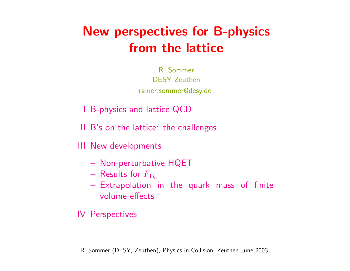# New perspectives for B-physics from the lattice

R. Sommer DESY Zeuthen rainer.sommer@desy.de

- I B-physics and lattice QCD
- II B's on the lattice: the challenges

III New developments

- Non-perturbative HQET
- Results for  $F_{\text{B}_s}$
- Extrapolation in the quark mass of finite volume effects

IV Perspectives

R. Sommer (DESY, Zeuthen), Physics in Collision, Zeuthen June 2003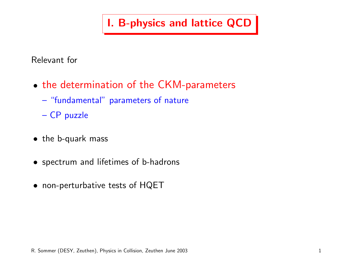I. B-physics and lattice QCD

Relevant for

- the determination of the CKM-parameters
	- "fundamental" parameters of nature
	- CP puzzle
- the b-quark mass
- spectrum and lifetimes of b-hadrons
- non-perturbative tests of HQET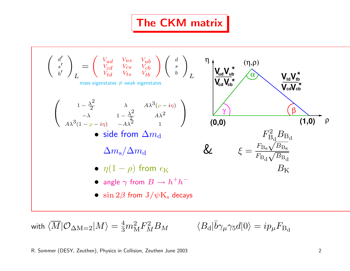### The CKM matrix

$$
\begin{pmatrix}\n d' \\
s' \\
b'\n\end{pmatrix}_{L} = \begin{pmatrix}\n V_{ud} & V_{us} & V_{ub} \\
V_{cd} & V_{cs} & V_{cb} \\
V_{td} & V_{ts} & V_{tb}\n\end{pmatrix}\n\begin{pmatrix}\n d \\
s \\
b\n\end{pmatrix}_{L}
$$
\n
$$
\begin{pmatrix}\n 1 - \frac{\lambda^2}{2} & \lambda & A\lambda^3(\rho - i\eta) \\
1 - \frac{\lambda^2}{2} & A\lambda^2 & 1\n\end{pmatrix}
$$
\n
$$
\begin{pmatrix}\n 1 - \frac{\lambda^2}{2} & \lambda & A\lambda^3(\rho - i\eta) \\
1 - \frac{\lambda^2}{2} & A\lambda^2 & 1\n\end{pmatrix}
$$
\n**6** side from  $\Delta m_d$   
\n
$$
\Delta m_s/\Delta m_d
$$
\n
$$
\begin{pmatrix}\n 2aV_{ub}^* \\
4\lambda^3(1 - \rho - i\eta) & -A\lambda^2 & 1\n\end{pmatrix}
$$
\n
$$
\begin{pmatrix}\n 0,0\n\end{pmatrix}
$$
\n
$$
\begin{pmatrix}\n F_{B_d}^2 B_{B_d} \\
\Delta m_s/\Delta m_d\n\end{pmatrix}
$$
\n
$$
\begin{pmatrix}\n F_{B_d}^2 B_{B_d} \\
\Delta m_s/\Delta m_d\n\end{pmatrix}
$$
\n
$$
\begin{pmatrix}\n 0,0\n\end{pmatrix}
$$
\n
$$
\begin{pmatrix}\n F_{B_d}^2 V_{B_s} \\
\Delta V_{B_s} \n\end{pmatrix}
$$
\n
$$
\begin{pmatrix}\n 0,0\n\end{pmatrix}
$$
\n
$$
\begin{pmatrix}\n 0,0\n\end{pmatrix}
$$
\n
$$
\begin{pmatrix}\n 0,0\n\end{pmatrix}
$$
\n
$$
\begin{pmatrix}\n 0,0\n\end{pmatrix}
$$
\n
$$
\begin{pmatrix}\n 0,0\n\end{pmatrix}
$$
\n
$$
\begin{pmatrix}\n 0,0\n\end{pmatrix}
$$
\n
$$
\begin{pmatrix}\n 0,0\n\end{pmatrix}
$$
\n
$$
\begin{pmatrix}\n 0,0\n\end{pmatrix}
$$
\n
$$
\begin{pmatrix}\n 0,0\n\end{pmatrix}
$$

with  $\langle\overline{M}|\mathcal{O}_{\Delta\mathrm{M}=2}|M\rangle=\frac{4}{3}m_{\mathrm{M}}^{2}F_{M}^{2}B_{M}\qquad\quad\langle B_{\mathrm{d}}|$ 

$$
\langle B_{\rm d}|\bar b\gamma_\mu\gamma_5 d|0\rangle=ip_\mu F_{\rm B_{\rm d}}
$$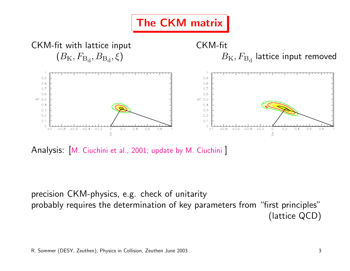

Analysis: M. Ciuchini et al., 2001; update by M. Ciuchini

precision CKM-physics, e.g. check of unitarity probably requires the determination of key parameters from "first principles" (lattice QCD)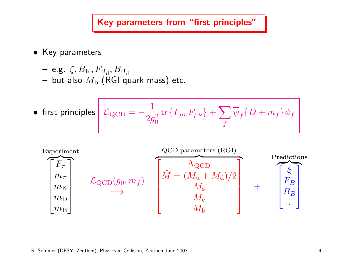Key parameters from "first principles"

- Key parameters
	- $-$  e.g.  $\xi, B_{\rm K}, F_{\rm B_d}, B_{\rm B_d}$ – but also  $M_{\rm b}$  (RGI quark mass) etc.

• first principles 
$$
\mathcal{L}_{\text{QCD}} = -\frac{1}{2g_0^2} \text{tr} \{ F_{\mu\nu} F_{\mu\nu} \} + \sum_f \overline{\psi}_f \{ D + m_f \} \psi_f
$$

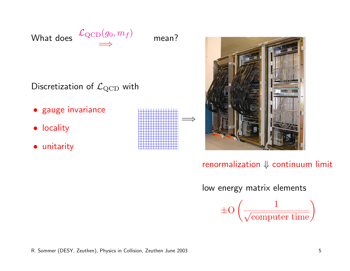

mean?

Discretization of  $\mathcal{L}_{\text{QCD}}$  with

- gauge invariance
- locality
- unitarity





renormalization ⇓ continuum limit

low energy matrix elements

 $\pm$ O  $\sqrt{1}$  $\overline{\phantom{a}}$  $\frac{1}{\text{computer time}}$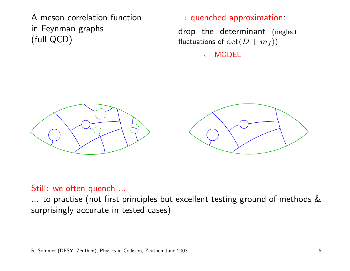A meson correlation function in Feynman graphs (full QCD)

#### $\rightarrow$  quenched approximation:

drop the determinant (neglect fluctuations of  $\det(D + m_f))$ 

 $\leftarrow$  MODEL



#### Still: we often quench ...

... to practise (not first principles but excellent testing ground of methods & surprisingly accurate in tested cases)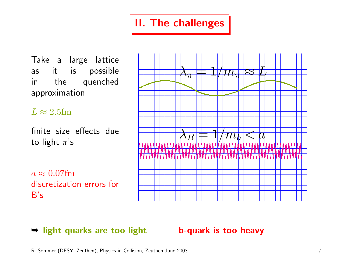## II. The challenges

Take a large lattice as it is possible in the quenched approximation

#### $L \approx 2.5$ fm

finite size effects due to light  $\pi$ 's

 $a \approx 0.07$ fm discretization errors for B's



#### **► light quarks are too light b-quark is too heavy**

R. Sommer (DESY, Zeuthen), Physics in Collision, Zeuthen June 2003 7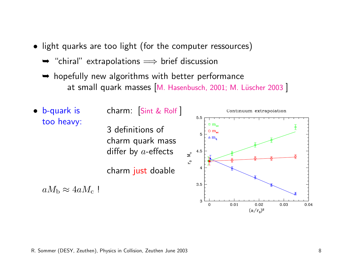- light quarks are too light (for the computer ressources)
	- $\rightarrow$  "chiral" extrapolations  $\Rightarrow$  brief discussion
	- **►** hopefully new algorithms with better performance at small quark masses [M. Hasenbusch, 2001; M. Lüscher 2003 ]



#### R. Sommer (DESY, Zeuthen), Physics in Collision, Zeuthen June 2003 8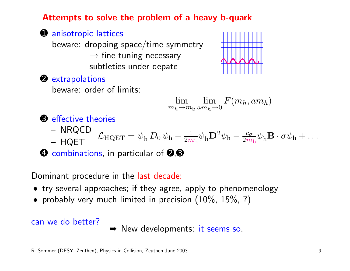Attempts to solve the problem of a heavy b-quark

**O** anisotropic lattices beware: dropping space/time symmetry  $\rightarrow$  fine tuning necessary subtleties under depate



➋ extrapolations

beware: order of limits:

$$
\lim_{m_h \to m_b} \lim_{am_h \to 0} F(m_h, am_h)
$$

➌ effective theories

- 
- NRQCD  $\mathcal{L}_{\rm HQET} = \overline{\psi}_{\rm h} \, D_0 \, \psi_{\rm h} -$ 1  $\frac{1}{2m_{\rm b}}\overline{\psi}_{\rm h}{\bf D}^2\psi_{\rm h}-\frac{c_\sigma}{2m}$  $\frac{c_\sigma}{2m_\text{b}}\psi_\text{h}\mathbf{B}\cdot\sigma\psi_\text{h}+\dots$ – HQET

**◆ combinations, in particular of ❷, ❸** 

Dominant procedure in the last decade:

- try several approaches; if they agree, apply to phenomenology
- probably very much limited in precision  $(10\% , 15\%, ?)$

#### can we do better?

**► New developments: it seems so.**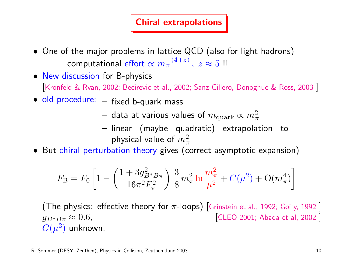#### Chiral extrapolations

- One of the major problems in lattice QCD (also for light hadrons) computational effort  $\propto m_\pi^{-(4+z)}\,,\;z\approx 5\,$  !!
- New discussion for B-physics [Kronfeld & Ryan, 2002; Becirevic et al., 2002; Sanz-Cillero, Donoghue & Ross, 2003 ]
- old procedure: fixed b-quark mass
	- $-$  data at various values of  $m_{\rm quark} \propto m_{\pi}^2$
	- linear (maybe quadratic) extrapolation to physical value of  $m_\pi^2$
- But chiral perturbation theory gives (correct asymptotic expansion)

$$
F_{\rm B} = F_0 \left[ 1 - \left( \frac{1 + 3g_{B^*B\pi}^2}{16\pi^2 F_\pi^2} \right) \frac{3}{8} m_\pi^2 \ln \frac{m_\pi^2}{\mu^2} + C(\mu^2) + \mathcal{O}(m_\pi^4) \right]
$$

(The physics: effective theory for  $\pi$ -loops) [Grinstein et al., 1992; Goity, 1992]  $g_{B^*B\pi} \approx 0.6$ , [CLEO 2001; Abada et al, 2002]  $C(\mu^2)$  unknown.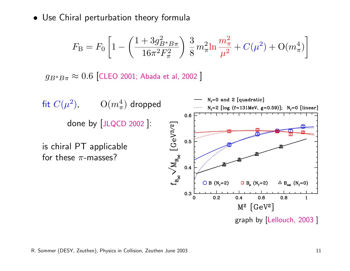• Use Chiral perturbation theory formula

$$
F_{\rm B} = F_0 \left[ 1 - \left( \frac{1 + 3g_{B^* B \pi}^2}{16\pi^2 F_{\pi}^2} \right) \frac{3}{8} m_{\pi}^2 \ln \frac{m_{\pi}^2}{\mu^2} + C(\mu^2) + O(m_{\pi}^4) \right]
$$

 $g_{B^*B\pi}\approx 0.6$  [CLEO 2001; Abada et al, 2002]

fit  $C(\mu^2)$ ,  $\qquad O(m_\pi^4)$  dropped done by [JLQCD 2002 ]:

is chiral PT applicable for these  $\pi$ -masses?

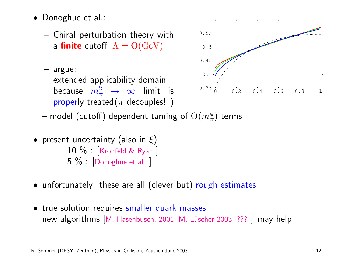- Donoghue et al.:
	- Chiral perturbation theory with a finite cutoff,  $\Lambda = O({\rm GeV})$
	- argue: extended applicability domain because  $m_\pi^2$   $\;\rightarrow\; \infty$  limit is properly treated( $\pi$  decouples!)



- model (cutoff) dependent taming of  $\mathrm{O}(m_\pi^4)$  terms
- present uncertainty (also in  $\xi$ ) 10 % : [Kronfeld & Ryan ] 5 % : [Donoghue et al. ]
- unfortunately: these are all (clever but) rough estimates
- true solution requires smaller quark masses new algorithms [M. Hasenbusch, 2001; M. Lüscher 2003; ??? ] may help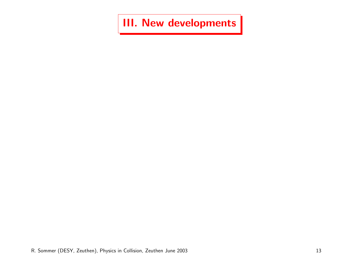III. New developments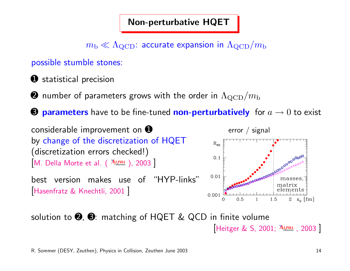#### Non-perturbative HQET

 $m_{\rm b} \ll \Lambda_{\rm QCD}$ : accurate expansion in  $\Lambda_{\rm QCD}/m_{\rm b}$ 

possible stumble stones:

**O** statistical precision

 $\bullet$  number of parameters grows with the order in  $\Lambda_{\rm QCD}/m_{\rm b}$ 

 $\Theta$  **parameters** have to be fine-tuned **non-perturbatively** for  $a \rightarrow 0$  to exist

considerable improvement on  $\bullet$ by change of the discretization of HQET (discretization errors checked!) [M. Della Morte et al. ( *ALPHA* **Collaboration** ), 2003 ]

best version makes use of "HYP-links" Hasenfratz & Knechtli, 2001



solution to  $\Theta$ ,  $\Theta$ : matching of HQET & QCD in finite volume [Heitger & S, 2001; *ALPHA* **Collaboration** , 2003 ]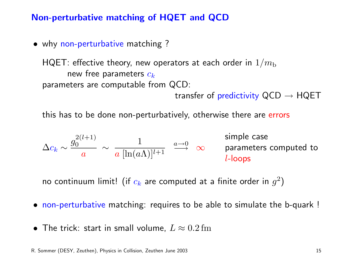#### Non-perturbative matching of HQET and QCD

• why non-perturbative matching ?

HQET: effective theory, new operators at each order in  $1/m_{\rm b}$ new free parameters  $c_k$ parameters are computable from QCD:

transfer of predictivity  $QCD \rightarrow HQET$ 

this has to be done non-perturbatively, otherwise there are errors

$$
\Delta c_k \sim \frac{g_0^{2(l+1)}}{a} \sim \frac{1}{a \; [\ln (a \Lambda)]^{l+1}} \; \overset{a \rightarrow 0}{\longrightarrow} \; \infty \qquad \text{parameters computed to} \; \\ l\text{-loops}
$$

no continuum limit! (if  $c_k$  are computed at a finite order in  $g^2)$ 

- non-perturbative matching: requires to be able to simulate the b-quark !
- The trick: start in small volume,  $L \approx 0.2\,\mathrm{fm}$

R. Sommer (DESY, Zeuthen), Physics in Collision, Zeuthen June 2003 15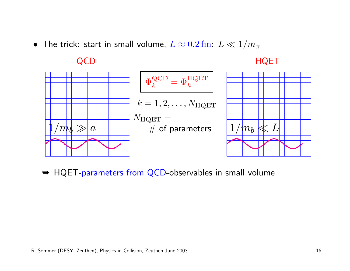• The trick: start in small volume,  $L \approx 0.2 \, \text{fm}$ :  $L \ll 1/m_\pi$ 

#### QCD

#### HQET



**► HQET-parameters from QCD-observables in small volume**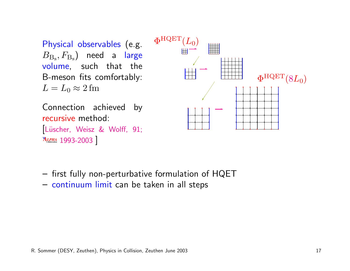Physical observables (e.g.  $B_{\rm B_s}, F_{\rm B_s}$ ) need a large volume, such that the B-meson fits comfortably:  $L = L_0 \approx 2$  fm



Connection achieved by recursive method: Lüscher, Weisz & Wolff, 91; *ALPHA* **Collaboration** 1993-2003 ]

- first fully non-perturbative formulation of HQET
- continuum limit can be taken in all steps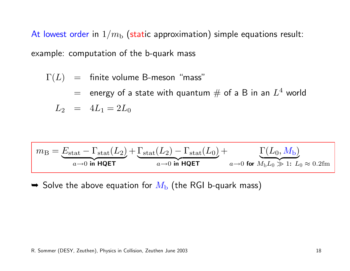At lowest order in  $1/m<sub>b</sub>$  (static approximation) simple equations result: example: computation of the b-quark mass

$$
\Gamma(L) = \text{finite volume B-meson "mass"}
$$
\n
$$
= \text{energy of a state with quantum \# of a B in an } L^4 \text{ world}
$$
\n
$$
L_2 = 4L_1 = 2L_0
$$

$$
m_{\rm B} = \underbrace{E_{\rm stat} - \Gamma_{\rm stat}(L_2)}_{a \to 0 \text{ in HQET}} + \underbrace{\Gamma_{\rm stat}(L_0)}_{a \to 0 \text{ in HQET}} + \underbrace{\Gamma(L_0, M_{\rm b})}_{a \to 0 \text{ for } M_{\rm b}L_0 \gg 1: L_0 \approx 0.2 {\rm fm}}
$$

 $\blacktriangleright$  Solve the above equation for  $M_{\rm b}$  (the RGI b-quark mass)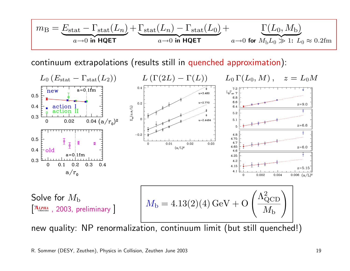$$
m_{\rm B} = \underbrace{E_{\rm stat} - \Gamma_{\rm stat}(L_n)}_{a \to 0 \text{ in HQET}} + \underbrace{\Gamma_{\rm stat}(L_0)}_{a \to 0 \text{ in HQET}} + \underbrace{\Gamma(L_0, M_{\rm b})}_{a \to 0 \text{ for } M_{\rm b}L_0 \gg 1: L_0 \approx 0.2 {\rm fm}}
$$

continuum extrapolations (results still in quenched approximation):

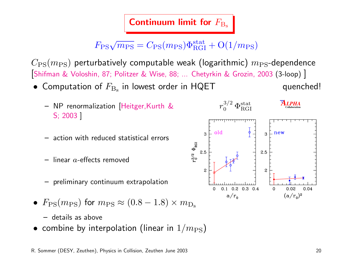### Continuum limit for  $F_{\text{B}_s}$

# $F_{\rm PS}\sqrt{m_{\rm PS}} = C_{\rm PS}(m_{\rm PS})\Phi^{\rm stat}_{\rm RGI} + {\rm O}(1/m_{\rm PS})$

 $C_{\rm PS}(m_{\rm PS})$  perturbatively computable weak (logarithmic)  $m_{\rm PS}$ -dependence [Shifman & Voloshin, 87; Politzer & Wise, 88; ... Chetyrkin & Grozin, 2003 (3-loop) ]

- $\bullet$  Computation of  $F_{\rm B_s}$  in lowest order in HQET quenched!
	- NP renormalization [Heitger,Kurth & S; 2003 ]
	- action with reduced statistical errors
	- $-$  linear  $a$ -effects removed
	- preliminary continuum extrapolation
- $F_{\rm PS}(m_{\rm PS})$  for  $m_{\rm PS} \approx (0.8 1.8) \times m_{\rm Ds}$ 
	- details as above
- combine by interpolation (linear in  $1/m_\mathrm{PS}$ )

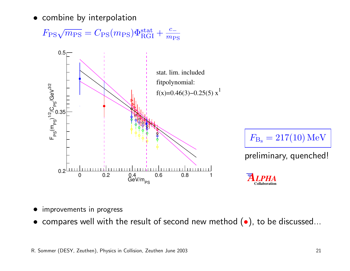• combine by interpolation

 $F_{\rm PS}\sqrt{m_{\rm PS}} = C_{\rm PS}(m_{\rm PS})\Phi^{\rm stat}_{\rm RGI} + \frac{c_-}{m_{\rm PS}}$  $m_{\rm PS}$ 





preliminary, quenched!

*ALPHA* **Collaboration**

- improvements in progress
- compares well with the result of second new method  $(\bullet)$ , to be discussed...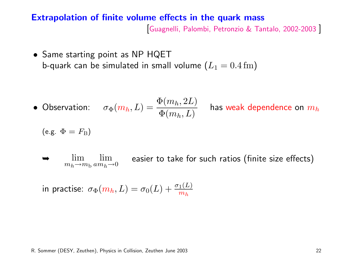#### Extrapolation of finite volume effects in the quark mass

[Guagnelli, Palombi, Petronzio & Tantalo, 2002-2003 ]

• Same starting point as NP HQET b-quark can be simulated in small volume  $(L_1 = 0.4 \text{ fm})$ 

• Observation: 
$$
\sigma_{\Phi}(m_h, L) = \frac{\Phi(m_h, 2L)}{\Phi(m_h, L)}
$$
 has weak dependence on  $m_h$ 

(e.g. 
$$
\Phi = F_B
$$
)

lim  $m_h \rightarrow m_b a m_h \rightarrow 0$ lim easier to take for such ratios (finite size effects)

in practise:  $\sigma_{\Phi}(m_h,L) = \sigma_0(L) + \frac{\sigma_1(L)}{m_h}$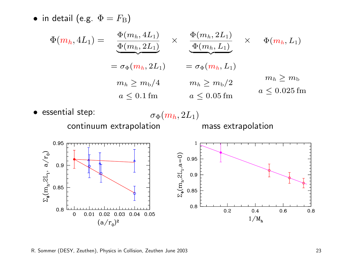• in detail (e.g.  $\Phi = F_{\text{B}}$ )



R. Sommer (DESY, Zeuthen), Physics in Collision, Zeuthen June 2003 23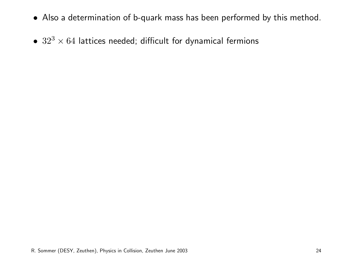- Also a determination of b-quark mass has been performed by this method.
- $32^3 \times 64$  lattices needed; difficult for dynamical fermions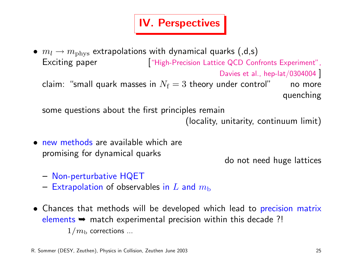### IV. Perspectives

•  $m_l \rightarrow m_{\text{phys}}$  extrapolations with dynamical quarks (,d,s) Exciting paper ["High-Precision Lattice QCD Confronts Experiment",

Davies et al., hep-lat/0304004

```
claim: "small quark masses in N_f = 3 theory under control" no more
                                                         quenching
```
some questions about the first principles remain

```
(locality, unitarity, continuum limit)
```
• new methods are available which are promising for dynamical quarks

do not need huge lattices

- Non-perturbative HQET
- Extrapolation of observables in L and  $m_{\rm b}$
- Chances that methods will be developed which lead to precision matrix elements  $\rightarrow$  match experimental precision within this decade ?!  $1/m<sub>b</sub>$  corrections ...